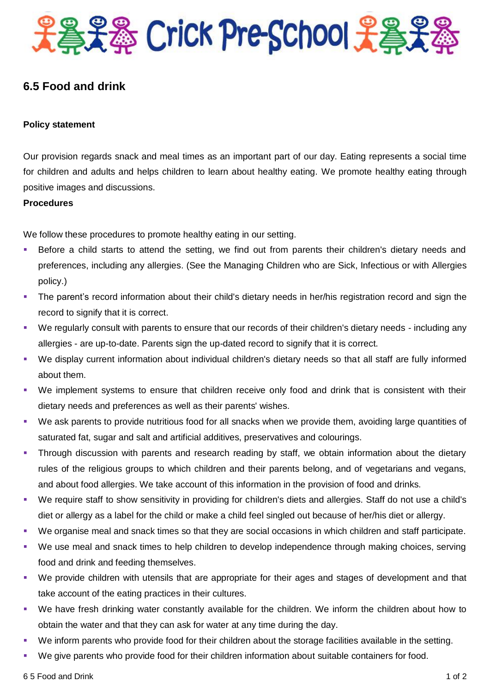

# **6.5 Food and drink**

# **Policy statement**

Our provision regards snack and meal times as an important part of our day. Eating represents a social time for children and adults and helps children to learn about healthy eating. We promote healthy eating through positive images and discussions.

#### **Procedures**

We follow these procedures to promote healthy eating in our setting.

- Before a child starts to attend the setting, we find out from parents their children's dietary needs and preferences, including any allergies. (See the Managing Children who are Sick, Infectious or with Allergies policy.)
- The parent's record information about their child's dietary needs in her/his registration record and sign the record to signify that it is correct.
- We regularly consult with parents to ensure that our records of their children's dietary needs including any allergies - are up-to-date. Parents sign the up-dated record to signify that it is correct.
- We display current information about individual children's dietary needs so that all staff are fully informed about them.
- We implement systems to ensure that children receive only food and drink that is consistent with their dietary needs and preferences as well as their parents' wishes.
- We ask parents to provide nutritious food for all snacks when we provide them, avoiding large quantities of saturated fat, sugar and salt and artificial additives, preservatives and colourings.
- Through discussion with parents and research reading by staff, we obtain information about the dietary rules of the religious groups to which children and their parents belong, and of vegetarians and vegans, and about food allergies. We take account of this information in the provision of food and drinks.
- We require staff to show sensitivity in providing for children's diets and allergies. Staff do not use a child's diet or allergy as a label for the child or make a child feel singled out because of her/his diet or allergy.
- We organise meal and snack times so that they are social occasions in which children and staff participate.
- We use meal and snack times to help children to develop independence through making choices, serving food and drink and feeding themselves.
- We provide children with utensils that are appropriate for their ages and stages of development and that take account of the eating practices in their cultures.
- We have fresh drinking water constantly available for the children. We inform the children about how to obtain the water and that they can ask for water at any time during the day.
- We inform parents who provide food for their children about the storage facilities available in the setting.
- We give parents who provide food for their children information about suitable containers for food.

6 5 Food and Drink 1 of 2